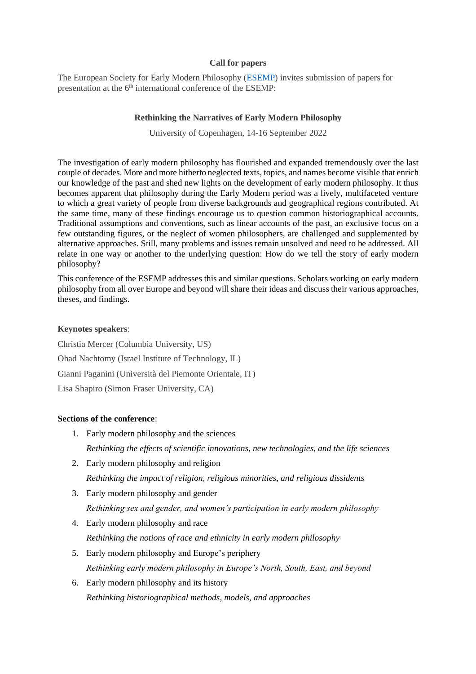### **Call for papers**

The European Society for Early Modern Philosophy [\(ESEMP\)](https://esemp.hypotheses.org/) invites submission of papers for presentation at the 6<sup>th</sup> international conference of the ESEMP:

## **Rethinking the Narratives of Early Modern Philosophy**

University of Copenhagen, 14-16 September 2022

The investigation of early modern philosophy has flourished and expanded tremendously over the last couple of decades. More and more hitherto neglected texts, topics, and names become visible that enrich our knowledge of the past and shed new lights on the development of early modern philosophy. It thus becomes apparent that philosophy during the Early Modern period was a lively, multifaceted venture to which a great variety of people from diverse backgrounds and geographical regions contributed. At the same time, many of these findings encourage us to question common historiographical accounts. Traditional assumptions and conventions, such as linear accounts of the past, an exclusive focus on a few outstanding figures, or the neglect of women philosophers, are challenged and supplemented by alternative approaches. Still, many problems and issues remain unsolved and need to be addressed. All relate in one way or another to the underlying question: How do we tell the story of early modern philosophy?

This conference of the ESEMP addresses this and similar questions. Scholars working on early modern philosophy from all over Europe and beyond will share their ideas and discuss their various approaches, theses, and findings.

## **Keynotes speakers**:

Christia Mercer (Columbia University, US) Ohad Nachtomy (Israel Institute of Technology, IL) Gianni Paganini (Università del Piemonte Orientale, IT) Lisa Shapiro (Simon Fraser University, CA)

# **Sections of the conference**:

- 1. Early modern philosophy and the sciences *Rethinking the effects of scientific innovations, new technologies, and the life sciences*
- 2. Early modern philosophy and religion *Rethinking the impact of religion, religious minorities, and religious dissidents*
- 3. Early modern philosophy and gender *Rethinking sex and gender, and women's participation in early modern philosophy*
- 4. Early modern philosophy and race *Rethinking the notions of race and ethnicity in early modern philosophy*
- 5. Early modern philosophy and Europe's periphery *Rethinking early modern philosophy in Europe's North, South, East, and beyond*
- 6. Early modern philosophy and its history *Rethinking historiographical methods, models, and approaches*